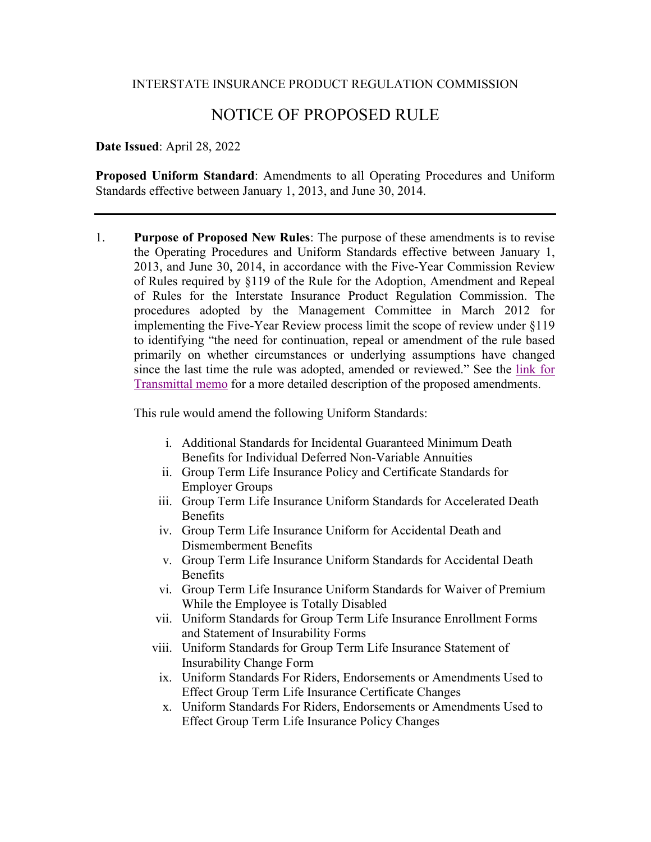## INTERSTATE INSURANCE PRODUCT REGULATION COMMISSION

## NOTICE OF PROPOSED RULE

## **Date Issued**: April 28, 2022

**Proposed Uniform Standard**: Amendments to all Operating Procedures and Uniform Standards effective between January 1, 2013, and June 30, 2014.

1. **Purpose of Proposed New Rules**: The purpose of these amendments is to revise the Operating Procedures and Uniform Standards effective between January 1, 2013, and June 30, 2014, in accordance with the Five-Year Commission Review of Rules required by §119 of the Rule for the Adoption, Amendment and Repeal of Rules for the Interstate Insurance Product Regulation Commission. The procedures adopted by the Management Committee in March 2012 for implementing the Five-Year Review process limit the scope of review under §119 to identifying "the need for continuation, repeal or amendment of the rule based primarily on whether circumstances or underlying assumptions have changed since the last time the rule was adopted, amended or reviewed." See the [link for](https://www.insurancecompact.org/sites/default/files/documents/PSCMemo.pdf)  [Transmittal memo](https://www.insurancecompact.org/sites/default/files/documents/PSCMemo.pdf) for a more detailed description of the proposed amendments.

This rule would amend the following Uniform Standards:

- i. Additional Standards for Incidental Guaranteed Minimum Death Benefits for Individual Deferred Non-Variable Annuities
- ii. Group Term Life Insurance Policy and Certificate Standards for Employer Groups
- iii. Group Term Life Insurance Uniform Standards for Accelerated Death Benefits
- iv. Group Term Life Insurance Uniform for Accidental Death and Dismemberment Benefits
- v. Group Term Life Insurance Uniform Standards for Accidental Death Benefits
- vi. Group Term Life Insurance Uniform Standards for Waiver of Premium While the Employee is Totally Disabled
- vii. Uniform Standards for Group Term Life Insurance Enrollment Forms and Statement of Insurability Forms
- viii. Uniform Standards for Group Term Life Insurance Statement of Insurability Change Form
- ix. Uniform Standards For Riders, Endorsements or Amendments Used to Effect Group Term Life Insurance Certificate Changes
- x. Uniform Standards For Riders, Endorsements or Amendments Used to Effect Group Term Life Insurance Policy Changes